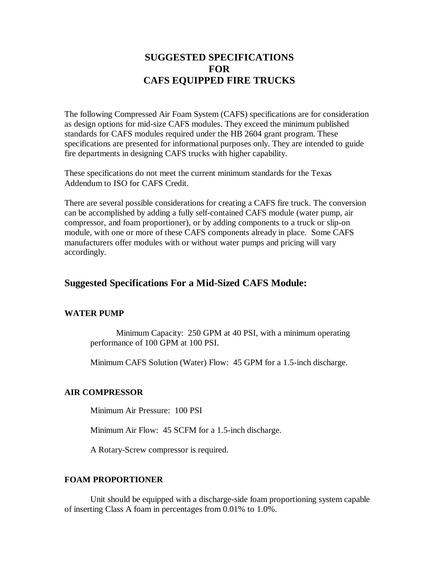# **SUGGESTED SPECIFICATIONS FOR CAFS EQUIPPED FIRE TRUCKS**

The following Compressed Air Foam System (CAFS) specifications are for consideration as design options for mid-size CAFS modules. They exceed the minimum published standards for CAFS modules required under the HB 2604 grant program. These specifications are presented for informational purposes only. They are intended to guide fire departments in designing CAFS trucks with higher capability.

These specifications do not meet the current minimum standards for the Texas Addendum to ISO for CAFS Credit.

There are several possible considerations for creating a CAFS fire truck. The conversion can be accomplished by adding a fully self-contained CAFS module (water pump, air compressor, and foam proportioner), or by adding components to a truck or slip-on module, with one or more of these CAFS components already in place. Some CAFS manufacturers offer modules with or without water pumps and pricing will vary accordingly.

## **Suggested Specifications For a Mid-Sized CAFS Module:**

## **WATER PUMP**

Minimum Capacity: 250 GPM at 40 PSI, with a minimum operating performance of 100 GPM at 100 PSI.

Minimum CAFS Solution (Water) Flow: 45 GPM for a 1.5-inch discharge.

## **AIR COMPRESSOR**

Minimum Air Pressure: 100 PSI

Minimum Air Flow: 45 SCFM for a 1.5-inch discharge.

A Rotary-Screw compressor is required.

## **FOAM PROPORTIONER**

Unit should be equipped with a discharge-side foam proportioning system capable of inserting Class A foam in percentages from 0.01% to 1.0%.